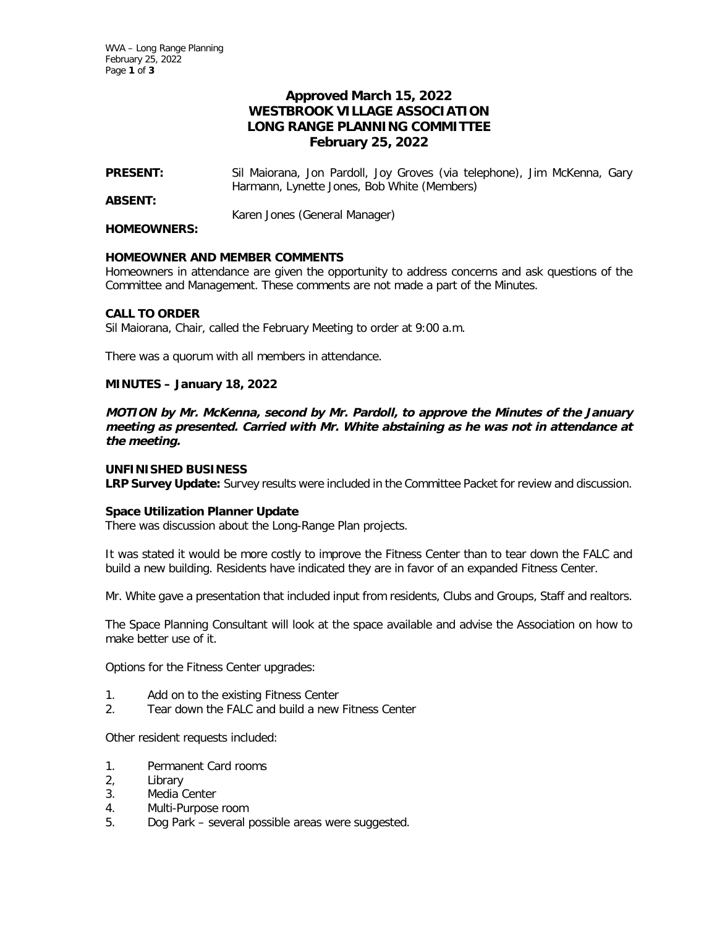# **Approved March 15, 2022 WESTBROOK VILLAGE ASSOCIATION LONG RANGE PLANNING COMMITTEE February 25, 2022**

- **PRESENT:** Sil Maiorana, Jon Pardoll, Joy Groves (via telephone), Jim McKenna, Gary Harmann, Lynette Jones, Bob White (Members)
- **ABSENT:**

Karen Jones (General Manager)

#### **HOMEOWNERS:**

## **HOMEOWNER AND MEMBER COMMENTS**

Homeowners in attendance are given the opportunity to address concerns and ask questions of the Committee and Management. These comments are not made a part of the Minutes.

### **CALL TO ORDER**

Sil Maiorana, Chair, called the February Meeting to order at 9:00 a.m.

There was a quorum with all members in attendance.

## **MINUTES – January 18, 2022**

**MOTION by Mr. McKenna, second by Mr. Pardoll, to approve the Minutes of the January meeting as presented. Carried with Mr. White abstaining as he was not in attendance at the meeting.** 

### **UNFINISHED BUSINESS**

**LRP Survey Update:** Survey results were included in the Committee Packet for review and discussion.

### **Space Utilization Planner Update**

There was discussion about the Long-Range Plan projects.

It was stated it would be more costly to improve the Fitness Center than to tear down the FALC and build a new building. Residents have indicated they are in favor of an expanded Fitness Center.

Mr. White gave a presentation that included input from residents, Clubs and Groups, Staff and realtors.

The Space Planning Consultant will look at the space available and advise the Association on how to make better use of it.

Options for the Fitness Center upgrades:

- 1. Add on to the existing Fitness Center
- 2. Tear down the FALC and build a new Fitness Center

Other resident requests included:

- 1. Permanent Card rooms
- 2, Library
- 3. Media Center
- 4. Multi-Purpose room
- 5. Dog Park several possible areas were suggested.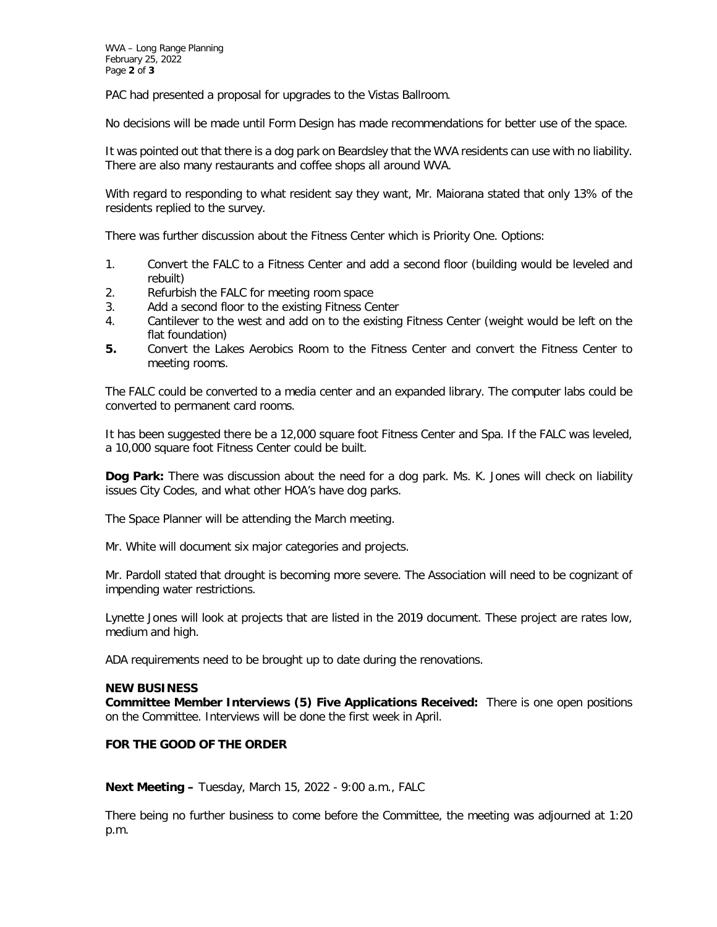PAC had presented a proposal for upgrades to the Vistas Ballroom.

No decisions will be made until Form Design has made recommendations for better use of the space.

It was pointed out that there is a dog park on Beardsley that the WVA residents can use with no liability. There are also many restaurants and coffee shops all around WVA.

With regard to responding to what resident say they want, Mr. Maiorana stated that only 13% of the residents replied to the survey.

There was further discussion about the Fitness Center which is Priority One. Options:

- 1. Convert the FALC to a Fitness Center and add a second floor (building would be leveled and rebuilt)
- 2. Refurbish the FALC for meeting room space
- 3. Add a second floor to the existing Fitness Center
- 4. Cantilever to the west and add on to the existing Fitness Center (weight would be left on the flat foundation)
- **5.** Convert the Lakes Aerobics Room to the Fitness Center and convert the Fitness Center to meeting rooms.

The FALC could be converted to a media center and an expanded library. The computer labs could be converted to permanent card rooms.

It has been suggested there be a 12,000 square foot Fitness Center and Spa. If the FALC was leveled, a 10,000 square foot Fitness Center could be built.

**Dog Park:** There was discussion about the need for a dog park. Ms. K. Jones will check on liability issues City Codes, and what other HOA's have dog parks.

The Space Planner will be attending the March meeting.

Mr. White will document six major categories and projects.

Mr. Pardoll stated that drought is becoming more severe. The Association will need to be cognizant of impending water restrictions.

Lynette Jones will look at projects that are listed in the 2019 document. These project are rates low, medium and high.

ADA requirements need to be brought up to date during the renovations.

### **NEW BUSINESS**

**Committee Member Interviews (5) Five Applications Received:** There is one open positions on the Committee. Interviews will be done the first week in April.

### **FOR THE GOOD OF THE ORDER**

**Next Meeting –** Tuesday, March 15, 2022 - 9:00 a.m., FALC

There being no further business to come before the Committee, the meeting was adjourned at 1:20 p.m.